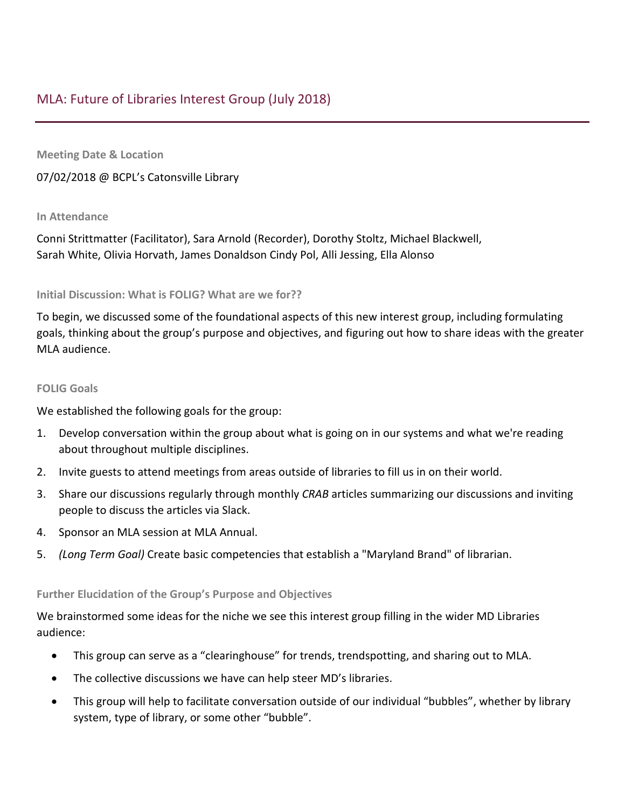**Meeting Date & Location**

07/02/2018 @ BCPL's Catonsville Library

## **In Attendance**

Conni Strittmatter (Facilitator), Sara Arnold (Recorder), Dorothy Stoltz, Michael Blackwell, Sarah White, Olivia Horvath, James Donaldson Cindy Pol, Alli Jessing, Ella Alonso

## **Initial Discussion: What is FOLIG? What are we for??**

To begin, we discussed some of the foundational aspects of this new interest group, including formulating goals, thinking about the group's purpose and objectives, and figuring out how to share ideas with the greater MLA audience.

## **FOLIG Goals**

We established the following goals for the group:

- 1. Develop conversation within the group about what is going on in our systems and what we're reading about throughout multiple disciplines.
- 2. Invite guests to attend meetings from areas outside of libraries to fill us in on their world.
- 3. Share our discussions regularly through monthly *CRAB* articles summarizing our discussions and inviting people to discuss the articles via Slack.
- 4. Sponsor an MLA session at MLA Annual.
- 5. *(Long Term Goal)* Create basic competencies that establish a "Maryland Brand" of librarian.

## **Further Elucidation of the Group's Purpose and Objectives**

We brainstormed some ideas for the niche we see this interest group filling in the wider MD Libraries audience:

- This group can serve as a "clearinghouse" for trends, trendspotting, and sharing out to MLA.
- The collective discussions we have can help steer MD's libraries.
- This group will help to facilitate conversation outside of our individual "bubbles", whether by library system, type of library, or some other "bubble".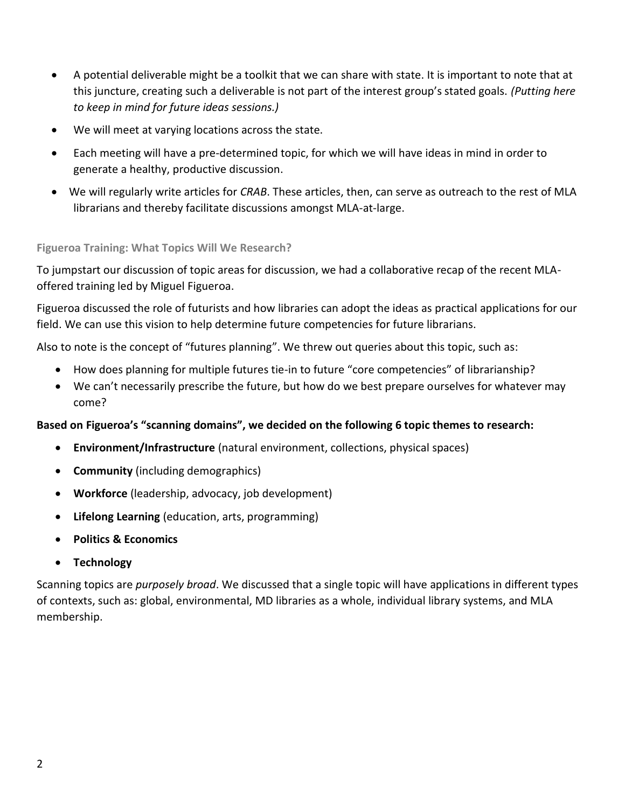- A potential deliverable might be a toolkit that we can share with state. It is important to note that at this juncture, creating such a deliverable is not part of the interest group's stated goals. *(Putting here to keep in mind for future ideas sessions.)*
- We will meet at varying locations across the state.
- Each meeting will have a pre-determined topic, for which we will have ideas in mind in order to generate a healthy, productive discussion.
- We will regularly write articles for *CRAB*. These articles, then, can serve as outreach to the rest of MLA librarians and thereby facilitate discussions amongst MLA-at-large.

**Figueroa Training: What Topics Will We Research?**

To jumpstart our discussion of topic areas for discussion, we had a collaborative recap of the recent MLAoffered training led by Miguel Figueroa.

Figueroa discussed the role of futurists and how libraries can adopt the ideas as practical applications for our field. We can use this vision to help determine future competencies for future librarians.

Also to note is the concept of "futures planning". We threw out queries about this topic, such as:

- How does planning for multiple futures tie-in to future "core competencies" of librarianship?
- We can't necessarily prescribe the future, but how do we best prepare ourselves for whatever may come?

# **Based on Figueroa's "scanning domains", we decided on the following 6 topic themes to research:**

- **Environment/Infrastructure** (natural environment, collections, physical spaces)
- **Community** (including demographics)
- **Workforce** (leadership, advocacy, job development)
- **Lifelong Learning** (education, arts, programming)
- **Politics & Economics**
- **Technology**

Scanning topics are *purposely broad*. We discussed that a single topic will have applications in different types of contexts, such as: global, environmental, MD libraries as a whole, individual library systems, and MLA membership.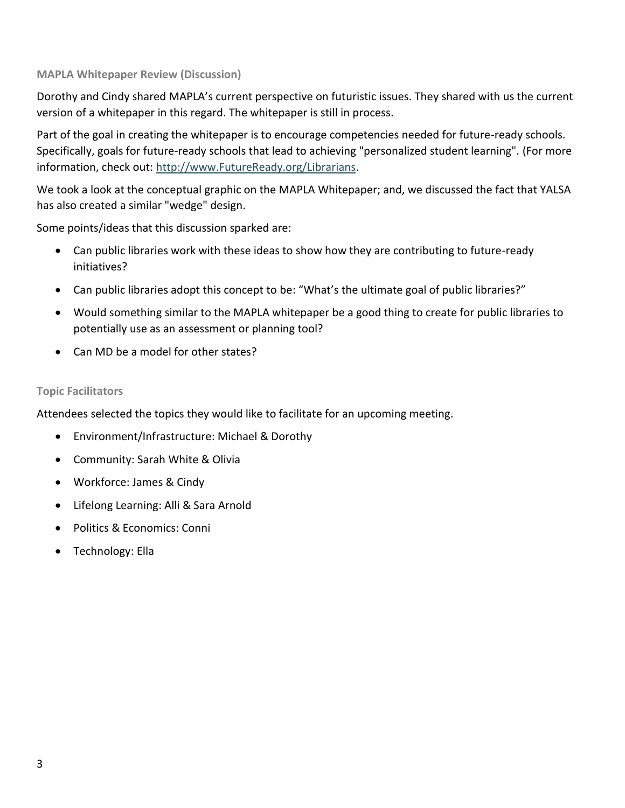### **MAPLA Whitepaper Review (Discussion)**

Dorothy and Cindy shared MAPLA's current perspective on futuristic issues. They shared with us the current version of a whitepaper in this regard. The whitepaper is still in process.

Part of the goal in creating the whitepaper is to encourage competencies needed for future-ready schools. Specifically, goals for future-ready schools that lead to achieving "personalized student learning". (For more information, check out: [http://www.FutureReady.org/Librarians.](http://www.futureready.org/Librarians)

We took a look at the conceptual graphic on the MAPLA Whitepaper; and, we discussed the fact that YALSA has also created a similar "wedge" design.

Some points/ideas that this discussion sparked are:

- Can public libraries work with these ideas to show how they are contributing to future-ready initiatives?
- Can public libraries adopt this concept to be: "What's the ultimate goal of public libraries?"
- Would something similar to the MAPLA whitepaper be a good thing to create for public libraries to potentially use as an assessment or planning tool?
- Can MD be a model for other states?

### **Topic Facilitators**

Attendees selected the topics they would like to facilitate for an upcoming meeting.

- Environment/Infrastructure: Michael & Dorothy
- Community: Sarah White & Olivia
- Workforce: James & Cindy
- Lifelong Learning: Alli & Sara Arnold
- Politics & Economics: Conni
- Technology: Ella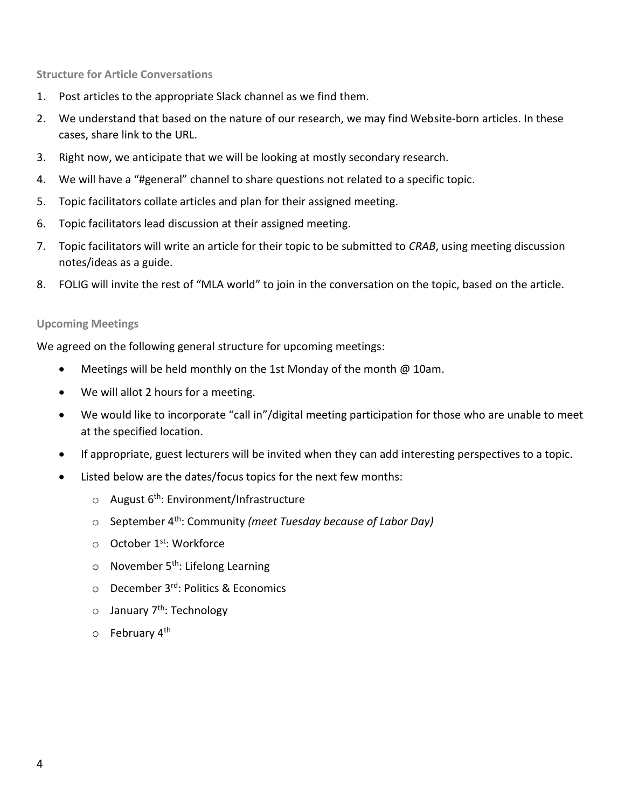**Structure for Article Conversations**

- 1. Post articles to the appropriate Slack channel as we find them.
- 2. We understand that based on the nature of our research, we may find Website-born articles. In these cases, share link to the URL.
- 3. Right now, we anticipate that we will be looking at mostly secondary research.
- 4. We will have a "#general" channel to share questions not related to a specific topic.
- 5. Topic facilitators collate articles and plan for their assigned meeting.
- 6. Topic facilitators lead discussion at their assigned meeting.
- 7. Topic facilitators will write an article for their topic to be submitted to *CRAB*, using meeting discussion notes/ideas as a guide.
- 8. FOLIG will invite the rest of "MLA world" to join in the conversation on the topic, based on the article.

#### **Upcoming Meetings**

We agreed on the following general structure for upcoming meetings:

- Meetings will be held monthly on the 1st Monday of the month @ 10am.
- We will allot 2 hours for a meeting.
- We would like to incorporate "call in"/digital meeting participation for those who are unable to meet at the specified location.
- If appropriate, guest lecturers will be invited when they can add interesting perspectives to a topic.
- Listed below are the dates/focus topics for the next few months:
	- $\circ$  August 6<sup>th</sup>: Environment/Infrastructure
	- o September 4th: Community *(meet Tuesday because of Labor Day)*
	- o October 1<sup>st</sup>: Workforce
	- $\circ$  November 5<sup>th</sup>: Lifelong Learning
	- o December 3rd: Politics & Economics
	- o January 7<sup>th</sup>: Technology
	- $\circ$  February 4<sup>th</sup>